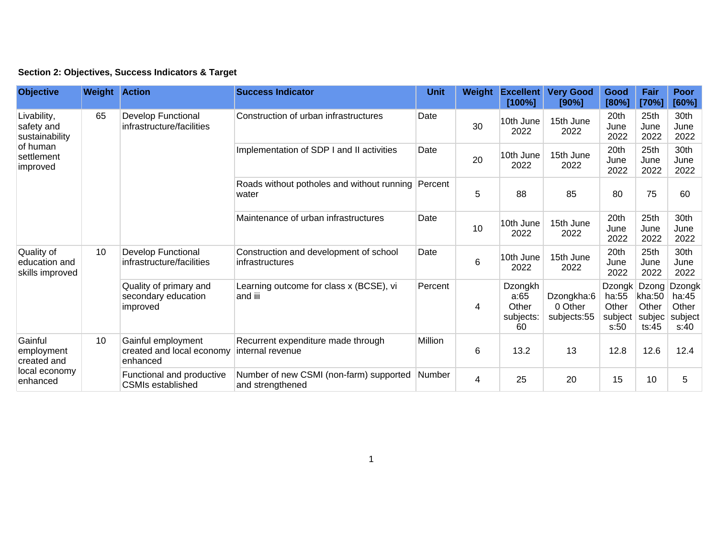## **Section 2: Objectives, Success Indicators & Target**

| <b>Objective</b>                                                                  | <b>Weight Action</b> |                                                             | <b>Success Indicator</b>                                    | <b>Unit</b>                                        | Weight  | <b>Excellent</b><br>[100%] | <b>Very Good</b><br>[90%]                   | Good<br>[80%]                        | Fair<br>[70%]                     | <b>Poor</b><br>[60%]               |
|-----------------------------------------------------------------------------------|----------------------|-------------------------------------------------------------|-------------------------------------------------------------|----------------------------------------------------|---------|----------------------------|---------------------------------------------|--------------------------------------|-----------------------------------|------------------------------------|
| Livability,<br>safety and<br>sustainability<br>of human<br>settlement<br>improved | 65                   | <b>Develop Functional</b><br>infrastructure/facilities      | Construction of urban infrastructures                       | Date                                               | 30      | 10th June<br>2022          | 15th June<br>2022                           | 20th<br>June<br>2022                 | 25th<br>June<br>2022              | 30th<br>June<br>2022               |
|                                                                                   |                      |                                                             | Implementation of SDP I and II activities                   | Date                                               | 20      | 10th June<br>2022          | 15th June<br>2022                           | 20th<br>June<br>2022                 | 25th<br>June<br>2022              | 30th<br>June<br>2022               |
|                                                                                   |                      |                                                             | Roads without potholes and without running Percent<br>water |                                                    | 5       | 88                         | 85                                          | 80                                   | 75                                | 60                                 |
|                                                                                   |                      |                                                             | Maintenance of urban infrastructures                        | Date                                               | 10      | 10th June<br>2022          | 15th June<br>2022                           | 20th<br>June<br>2022                 | 25th<br>June<br>2022              | 30th<br>June<br>2022               |
| Quality of<br>education and<br>skills improved                                    | 10                   | <b>Develop Functional</b><br>infrastructure/facilities      | Construction and development of school<br>infrastructures   | Date                                               | 6       | 10th June<br>2022          | 15th June<br>2022                           | 20th<br>June<br>2022                 | 25th<br>June<br>2022              | 30th<br>June<br>2022               |
|                                                                                   |                      |                                                             | Quality of primary and<br>secondary education<br>improved   | Learning outcome for class x (BCSE), vi<br>and iii | Percent | 4                          | Dzongkh<br>a:65<br>Other<br>subjects:<br>60 | Dzongkha:6<br>0 Other<br>subjects:55 | ha:55<br>Other<br>subject<br>s:50 | kha:50<br>Other<br>subjec<br>ts:45 |
| Gainful<br>employment<br>created and<br>local economy<br>enhanced                 | 10                   | Gainful employment<br>created and local economy<br>enhanced | Recurrent expenditure made through<br>internal revenue      | Million                                            | 6       | 13.2                       | 13                                          | 12.8                                 | 12.6                              | 12.4                               |
|                                                                                   |                      | Functional and productive<br><b>CSMIs established</b>       | Number of new CSMI (non-farm) supported<br>and strengthened | <b>Number</b>                                      | 4       | 25                         | 20                                          | 15                                   | 10                                | 5                                  |